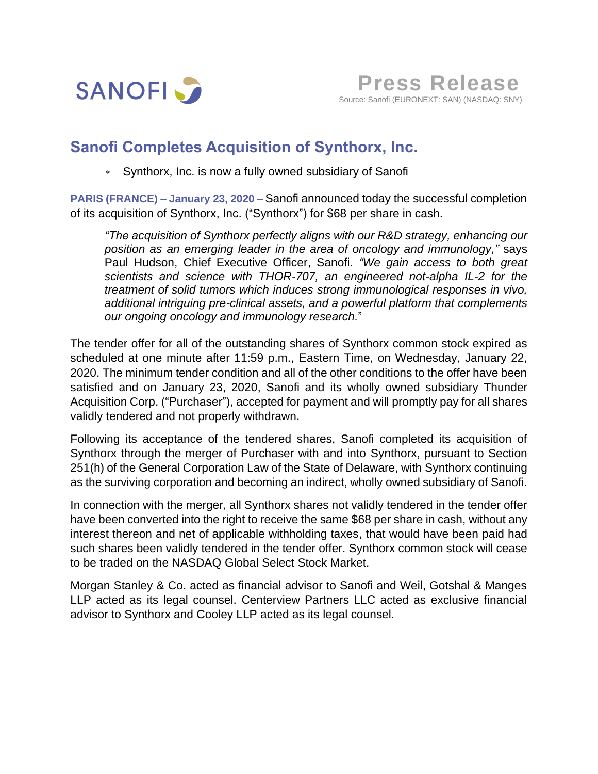

## **Sanofi Completes Acquisition of Synthorx, Inc.**

Synthorx, Inc. is now a fully owned subsidiary of Sanofi

**PARIS (FRANCE) – January 23, 2020 –** Sanofi announced today the successful completion of its acquisition of Synthorx, Inc. ("Synthorx") for \$68 per share in cash.

*"The acquisition of Synthorx perfectly aligns with our R&D strategy, enhancing our position as an emerging leader in the area of oncology and immunology,"* says Paul Hudson, Chief Executive Officer, Sanofi. *"We gain access to both great scientists and science with THOR-707, an engineered not-alpha IL-2 for the treatment of solid tumors which induces strong immunological responses in vivo, additional intriguing pre-clinical assets, and a powerful platform that complements our ongoing oncology and immunology research.*"

The tender offer for all of the outstanding shares of Synthorx common stock expired as scheduled at one minute after 11:59 p.m., Eastern Time, on Wednesday, January 22, 2020. The minimum tender condition and all of the other conditions to the offer have been satisfied and on January 23, 2020, Sanofi and its wholly owned subsidiary Thunder Acquisition Corp. ("Purchaser"), accepted for payment and will promptly pay for all shares validly tendered and not properly withdrawn.

Following its acceptance of the tendered shares, Sanofi completed its acquisition of Synthorx through the merger of Purchaser with and into Synthorx, pursuant to Section 251(h) of the General Corporation Law of the State of Delaware, with Synthorx continuing as the surviving corporation and becoming an indirect, wholly owned subsidiary of Sanofi.

In connection with the merger, all Synthorx shares not validly tendered in the tender offer have been converted into the right to receive the same \$68 per share in cash, without any interest thereon and net of applicable withholding taxes, that would have been paid had such shares been validly tendered in the tender offer. Synthorx common stock will cease to be traded on the NASDAQ Global Select Stock Market.

Morgan Stanley & Co. acted as financial advisor to Sanofi and Weil, Gotshal & Manges LLP acted as its legal counsel. Centerview Partners LLC acted as exclusive financial advisor to Synthorx and Cooley LLP acted as its legal counsel.